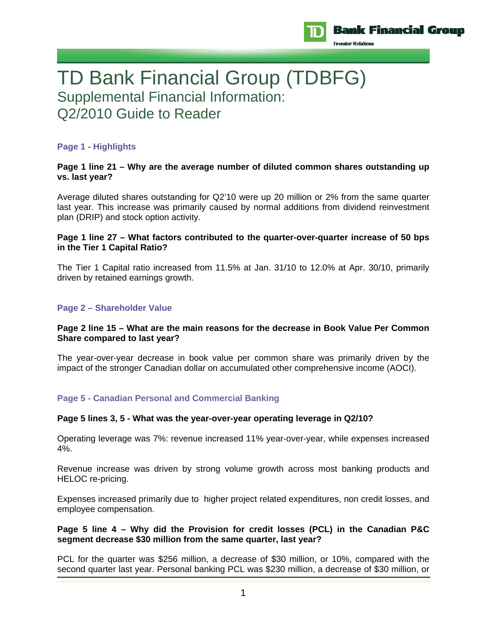

# TD Bank Financial Group (TDBFG) Supplemental Financial Information: Q2/2010 Guide to Reader

# **Page 1 - Highlights**

# **Page 1 line 21 – Why are the average number of diluted common shares outstanding up vs. last year?**

Average diluted shares outstanding for Q2'10 were up 20 million or 2% from the same quarter last year. This increase was primarily caused by normal additions from dividend reinvestment plan (DRIP) and stock option activity.

# **Page 1 line 27 – What factors contributed to the quarter-over-quarter increase of 50 bps in the Tier 1 Capital Ratio?**

The Tier 1 Capital ratio increased from 11.5% at Jan. 31/10 to 12.0% at Apr. 30/10, primarily driven by retained earnings growth.

# **Page 2 – Shareholder Value**

## **Page 2 line 15 – What are the main reasons for the decrease in Book Value Per Common Share compared to last year?**

The year-over-year decrease in book value per common share was primarily driven by the impact of the stronger Canadian dollar on accumulated other comprehensive income (AOCI).

# **Page 5 - Canadian Personal and Commercial Banking**

# **Page 5 lines 3, 5 - What was the year-over-year operating leverage in Q2/10?**

Operating leverage was 7%: revenue increased 11% year-over-year, while expenses increased 4%.

Revenue increase was driven by strong volume growth across most banking products and HELOC re-pricing.

Expenses increased primarily due to higher project related expenditures, non credit losses, and employee compensation.

## **Page 5 line 4 – Why did the Provision for credit losses (PCL) in the Canadian P&C segment decrease \$30 million from the same quarter, last year?**

PCL for the quarter was \$256 million, a decrease of \$30 million, or 10%, compared with the second quarter last year. Personal banking PCL was \$230 million, a decrease of \$30 million, or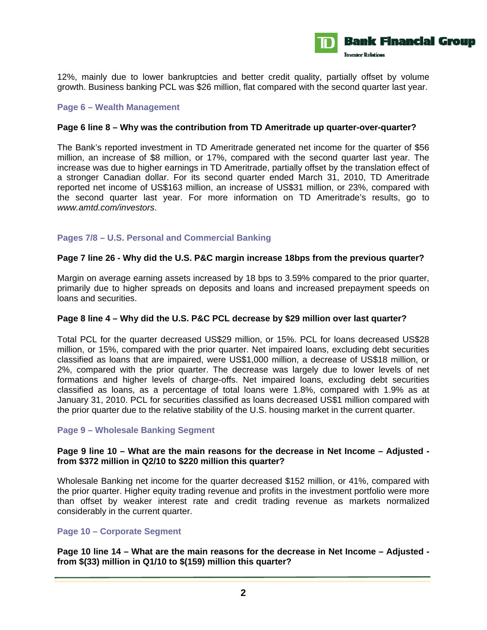

12%, mainly due to lower bankruptcies and better credit quality, partially offset by volume growth. Business banking PCL was \$26 million, flat compared with the second quarter last year.

# **Page 6 – Wealth Management**

## **Page 6 line 8 – Why was the contribution from TD Ameritrade up quarter-over-quarter?**

The Bank's reported investment in TD Ameritrade generated net income for the quarter of \$56 million, an increase of \$8 million, or 17%, compared with the second quarter last year. The increase was due to higher earnings in TD Ameritrade, partially offset by the translation effect of a stronger Canadian dollar. For its second quarter ended March 31, 2010, TD Ameritrade reported net income of US\$163 million, an increase of US\$31 million, or 23%, compared with the second quarter last year. For more information on TD Ameritrade's results, go to *www.amtd.com/investors*.

# **Pages 7/8 – U.S. Personal and Commercial Banking**

#### **Page 7 line 26 - Why did the U.S. P&C margin increase 18bps from the previous quarter?**

Margin on average earning assets increased by 18 bps to 3.59% compared to the prior quarter, primarily due to higher spreads on deposits and loans and increased prepayment speeds on loans and securities.

#### **Page 8 line 4 – Why did the U.S. P&C PCL decrease by \$29 million over last quarter?**

Total PCL for the quarter decreased US\$29 million, or 15%. PCL for loans decreased US\$28 million, or 15%, compared with the prior quarter. Net impaired loans, excluding debt securities classified as loans that are impaired, were US\$1,000 million, a decrease of US\$18 million, or 2%, compared with the prior quarter. The decrease was largely due to lower levels of net formations and higher levels of charge-offs. Net impaired loans, excluding debt securities classified as loans, as a percentage of total loans were 1.8%, compared with 1.9% as at January 31, 2010. PCL for securities classified as loans decreased US\$1 million compared with the prior quarter due to the relative stability of the U.S. housing market in the current quarter.

# **Page 9 – Wholesale Banking Segment**

## **Page 9 line 10 – What are the main reasons for the decrease in Net Income – Adjusted from \$372 million in Q2/10 to \$220 million this quarter?**

Wholesale Banking net income for the quarter decreased \$152 million, or 41%, compared with the prior quarter. Higher equity trading revenue and profits in the investment portfolio were more than offset by weaker interest rate and credit trading revenue as markets normalized considerably in the current quarter.

## **Page 10 – Corporate Segment**

**Page 10 line 14 – What are the main reasons for the decrease in Net Income – Adjusted from \$(33) million in Q1/10 to \$(159) million this quarter?**